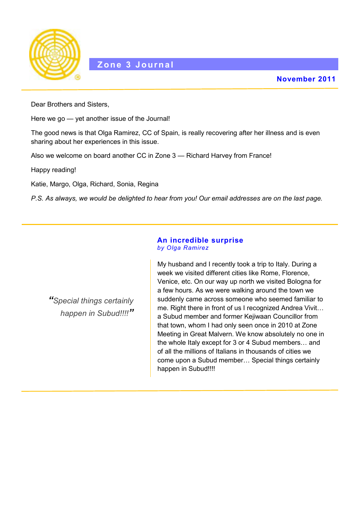

Dear Brothers and Sisters,

Here we go — yet another issue of the Journal!

The good news is that Olga Ramirez, CC of Spain, is really recovering after her illness and is even sharing about her experiences in this issue.

Also we welcome on board another CC in Zone 3 — Richard Harvey from France!

Happy reading!

Katie, Margo, Olga, Richard, Sonia, Regina

*P.S. As always, we would be delighted to hear from you! Our email addresses are on the last page.*

#### **An incredible surprise** *by Olga Ramirez*

*"Special things certainly happen in Subud!!!!"* My husband and I recently took a trip to Italy. During a week we visited different cities like Rome, Florence, Venice, etc. On our way up north we visited Bologna for a few hours. As we were walking around the town we suddenly came across someone who seemed familiar to me. Right there in front of us I recognized Andrea Vivit... a Subud member and former Kejiwaan Councillor from that town, whom I had only seen once in 2010 at Zone Meeting in Great Malvern. We know absolutely no one in the whole Italy except for 3 or 4 Subud members… and of all the millions of Italians in thousands of cities we come upon a Subud member… Special things certainly happen in Subud!!!!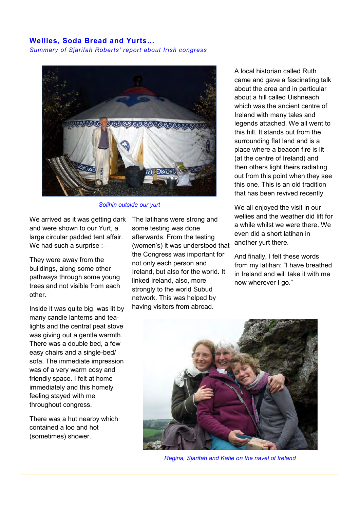### **Wellies, Soda Bread and Yurts…**

*Summary of Sjarifah Roberts' report about Irish congress*



*Solihin outside our yurt*

We arrived as it was getting dark and were shown to our Yurt, a large circular padded tent affair. We had such a surprise :--

They were away from the buildings, along some other pathways through some young trees and not visible from each other.

Inside it was quite big, was lit by many candle lanterns and tealights and the central peat stove was giving out a gentle warmth. There was a double bed, a few easy chairs and a single-bed/ sofa. The immediate impression was of a very warm cosy and friendly space. I felt at home immediately and this homely feeling stayed with me throughout congress.

There was a hut nearby which contained a loo and hot (sometimes) shower.

The latihans were strong and some testing was done afterwards. From the testing (women's) it was understood that the Congress was important for not only each person and Ireland, but also for the world. It linked Ireland, also, more strongly to the world Subud network. This was helped by having visitors from abroad.

A local historian called Ruth came and gave a fascinating talk about the area and in particular about a hill called Uishneach which was the ancient centre of Ireland with many tales and legends attached. We all went to this hill. It stands out from the surrounding flat land and is a place where a beacon fire is lit (at the centre of Ireland) and then others light theirs radiating out from this point when they see this one. This is an old tradition that has been revived recently.

We all enjoyed the visit in our wellies and the weather did lift for a while whilst we were there. We even did a short latihan in another yurt there.

And finally, I felt these words from my latihan: "I have breathed in Ireland and will take it with me now wherever I go."



*Regina, Sjarifah and Katie on the navel of Ireland*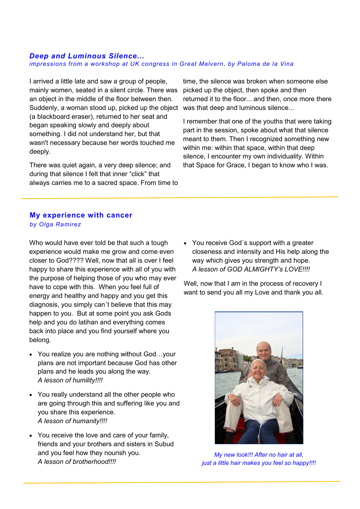#### *Deep and Luminous Silence... impressions from a workshop at UK congress in Great Malvern, by Paloma de la Vina*

I arrived a little late and saw a group of people, mainly women, seated in a silent circle. There was an object in the middle of the floor between then. Suddenly, a woman stood up, picked up the object was that deep and luminous silence... (a blackboard eraser), returned to her seat and began speaking slowly and deeply about something. I did not understand her, but that wasn't necessary because her words touched me deeply.

There was quiet again, a very deep silence; and during that silence I felt that inner "click" that always carries me to a sacred space. From time to

time, the silence was broken when someone else picked up the object, then spoke and then returned it to the floor... and then, once more there

I remember that one of the youths that were taking part in the session, spoke about what that silence meant to them. Then I recognized something new within me: within that space, within that deep silence, I encounter my own individuality. Within that Space for Grace, I began to know who I was.

# **My experience with cancer**  *by Olga Ramirez*

Who would have ever told be that such a tough experience would make me grow and come even closer to God???? Well, now that all is over I feel happy to share this experience with all of you with the purpose of helping those of you who may ever have to cope with this. When you feel full of energy and healthy and happy and you get this diagnosis, you simply can´t believe that this may happen to you. But at some point you ask Gods help and you do latihan and everything comes back into place and you find yourself where you belong.

- You realize you are nothing without God... your plans are not important because God has other plans and he leads you along the way. *A lesson of humility!!!!*
- You really understand all the other people who are going through this and suffering like you and you share this experience. *A lesson of humanity!!!!*
- You receive the love and care of your family, friends and your brothers and sisters in Subud and you feel how they nourish you. *A lesson of brotherhood!!!!*

• You receive God's support with a greater closeness and intensity and His help along the way which gives you strength and hope. *A lesson of GOD ALMIGHTY's LOVE!!!!*

Well, now that I am in the process of recovery I want to send you all my Love and thank you all.



*My new look!!! After no hair at all, just a little hair makes you feel so happy!!!!*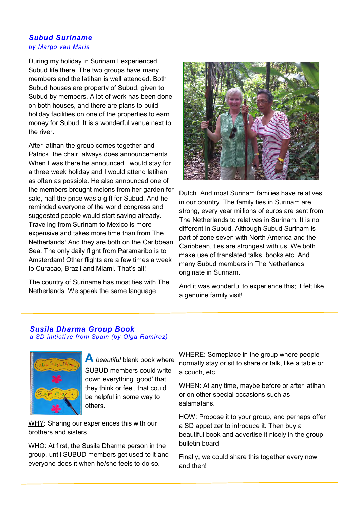### *Subud Suriname by Margo van Maris*

During my holiday in Surinam I experienced Subud life there. The two groups have many members and the latihan is well attended. Both Subud houses are property of Subud, given to Subud by members. A lot of work has been done on both houses, and there are plans to build holiday facilities on one of the properties to earn money for Subud. It is a wonderful venue next to the river.

After latihan the group comes together and Patrick, the chair, always does announcements. When I was there he announced I would stay for a three week holiday and I would attend latihan as often as possible. He also announced one of the members brought melons from her garden for sale, half the price was a gift for Subud. And he reminded everyone of the world congress and suggested people would start saving already. Traveling from Surinam to Mexico is more expensive and takes more time than from The Netherlands! And they are both on the Caribbean Sea. The only daily flight from Paramaribo is to Amsterdam! Other flights are a few times a week to Curacao, Brazil and Miami. That's all!

The country of Suriname has most ties with The Netherlands. We speak the same language,



Dutch. And most Surinam families have relatives in our country. The family ties in Surinam are strong, every year millions of euros are sent from The Netherlands to relatives in Surinam. It is no different in Subud. Although Subud Surinam is part of zone seven with North America and the Caribbean, ties are strongest with us. We both make use of translated talks, books etc. And many Subud members in The Netherlands originate in Surinam.

And it was wonderful to experience this; it felt like a genuine family visit!

## *Susila Dharma Group Book a SD initiative from Spain (by Olga Ramirez)*



**A** *beautiful* blank book where SUBUD members could write down everything 'good' that they think or feel, that could be helpful in some way to others.

WHY: Sharing our experiences this with our brothers and sisters.

WHO: At first, the Susila Dharma person in the group, until SUBUD members get used to it and everyone does it when he/she feels to do so.

WHERE: Someplace in the group where people normally stay or sit to share or talk, like a table or a couch, etc.

WHEN: At any time, maybe before or after latihan or on other special occasions such as salamatans.

HOW: Propose it to your group, and perhaps offer a SD appetizer to introduce it. Then buy a beautiful book and advertise it nicely in the group bulletin board.

Finally, we could share this together every now and then!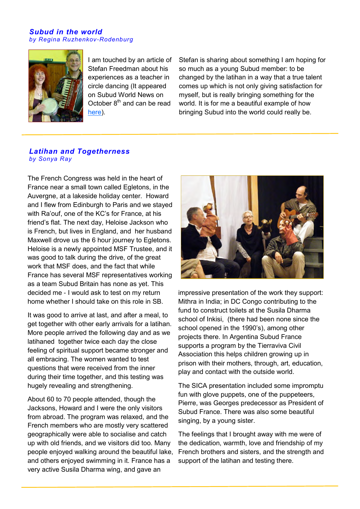#### *Subud in the world by Regina Ruzhenkov-Rodenburg*



I am touched by an article of Stefan Freedman about his experiences as a teacher in circle dancing (It appeared on Subud World News on October  $8<sup>th</sup>$  and can be read [here\)](http://subudworldnews.com/dyn/news/pdf/2DanceandSubudSWN.pdf).

Stefan is sharing about something I am hoping for so much as a young Subud member: to be changed by the latihan in a way that a true talent comes up which is not only giving satisfaction for myself, but is really bringing something for the world. It is for me a beautiful example of how bringing Subud into the world could really be.

### *Latihan and Togetherness by Sonya Ray*

The French Congress was held in the heart of France near a small town called Egletons, in the Auvergne, at a lakeside holiday center. Howard and I flew from Edinburgh to Paris and we stayed with Ra'ouf, one of the KC's for France, at his friend's flat. The next day, Heloise Jackson who is French, but lives in England, and her husband Maxwell drove us the 6 hour journey to Egletons. Heloise is a newly appointed MSF Trustee, and it was good to talk during the drive, of the great work that MSF does, and the fact that while France has several MSF representatives working as a team Subud Britain has none as yet. This decided me - I would ask to test on my return home whether I should take on this role in SB.

It was good to arrive at last, and after a meal, to get together with other early arrivals for a latihan. More people arrived the following day and as we latihaned together twice each day the close feeling of spiritual support became stronger and all embracing. The women wanted to test questions that were received from the inner during their time together, and this testing was hugely revealing and strengthening.

About 60 to 70 people attended, though the Jacksons, Howard and I were the only visitors from abroad. The program was relaxed, and the French members who are mostly very scattered geographically were able to socialise and catch up with old friends, and we visitors did too. Many people enjoyed walking around the beautiful lake, and others enjoyed swimming in it. France has a very active Susila Dharma wing, and gave an



impressive presentation of the work they support: Mithra in India; in DC Congo contributing to the fund to construct toilets at the Susila Dharma school of Inkisi, (there had been none since the school opened in the 1990's), among other projects there. In Argentina Subud France supports a program by the Tierraviva Civil Association this helps children growing up in prison with their mothers, through, art, education, play and contact with the outside world.

The SICA presentation included some impromptu fun with glove puppets, one of the puppeteers, Pierre, was Georges predecessor as President of Subud France. There was also some beautiful singing, by a young sister.

The feelings that I brought away with me were of the dedication, warmth, love and friendship of my French brothers and sisters, and the strength and support of the latihan and testing there.